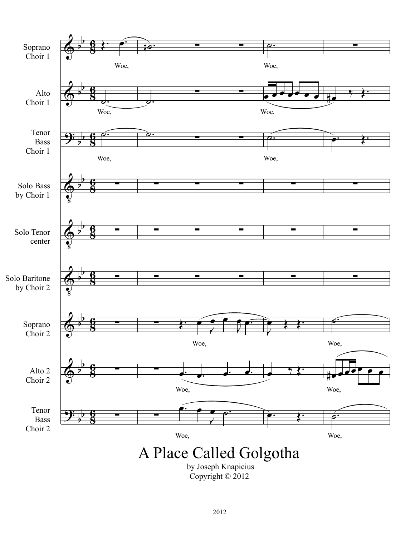

2012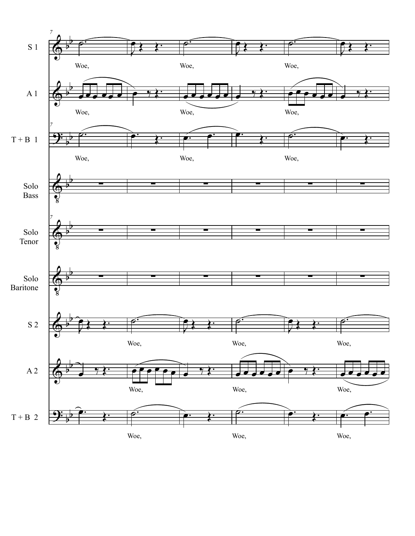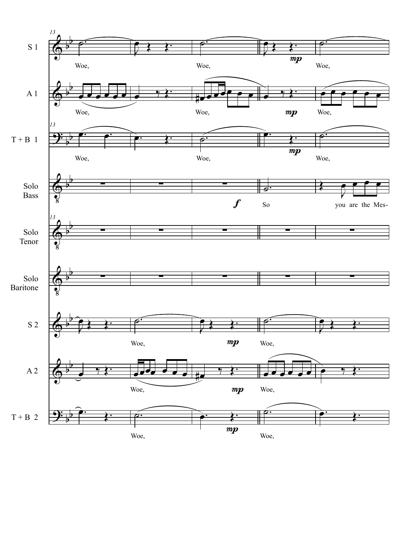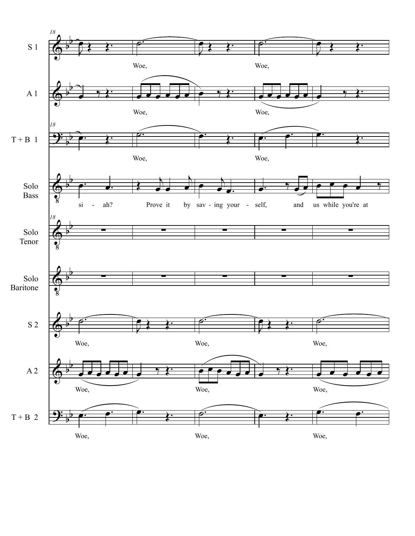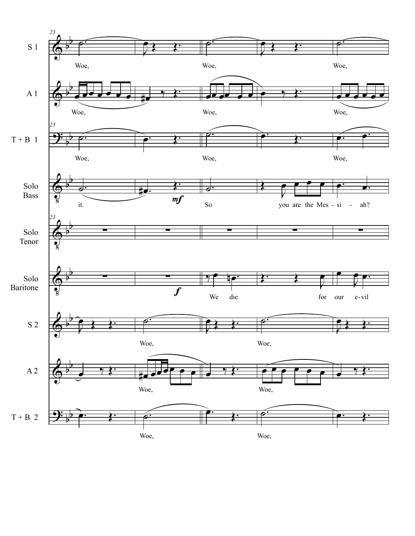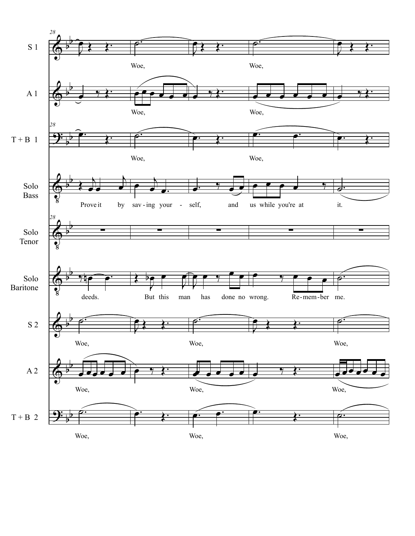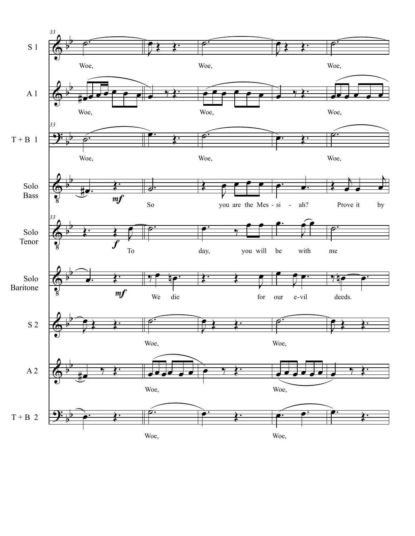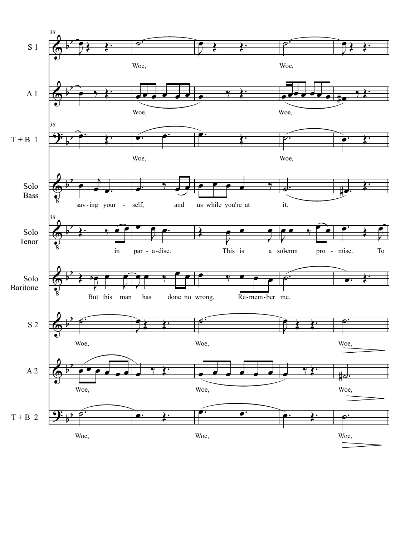